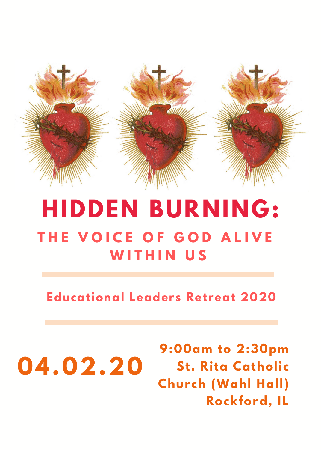

## **HIDDEN BURNING: T H E V O I C E O F G O D A L I V E W I T H I N U S**

**Educational Leaders Retreat 2020**

**04.02.20 9:00am to 2:30pm St. Rita Catholic Church (Wahl Hall ) Rockford, IL**